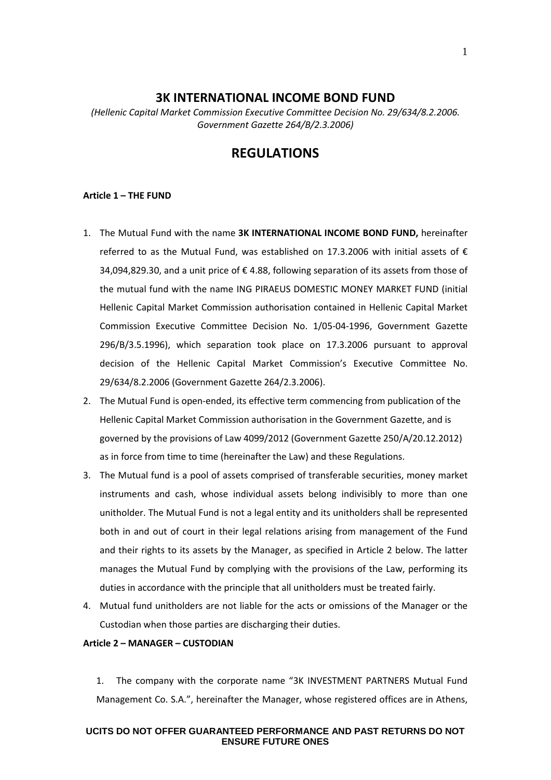## **3K INTERNATIONAL INCOME BOND FUND**

*(Hellenic Capital Market Commission Executive Committee Decision No. 29/634/8.2.2006. Government Gazette 264/B/2.3.2006)*

# **REGULATIONS**

#### **Article 1 – THE FUND**

- 1. The Mutual Fund with the name **3Κ INTERNATIONAL INCOME BOND FUND,** hereinafter referred to as the Mutual Fund, was established on 17.3.2006 with initial assets of  $\epsilon$ 34,094,829.30, and a unit price of € 4.88, following separation of its assets from those of the mutual fund with the name ING PIRAEUS DOMESTIC MONEY MARKET FUND (initial Hellenic Capital Market Commission authorisation contained in Hellenic Capital Market Commission Executive Committee Decision No. 1/05-04-1996, Government Gazette 296/B/3.5.1996), which separation took place on 17.3.2006 pursuant to approval decision of the Hellenic Capital Market Commission's Executive Committee No. 29/634/8.2.2006 (Government Gazette 264/2.3.2006).
- 2. The Mutual Fund is open-ended, its effective term commencing from publication of the Hellenic Capital Market Commission authorisation in the Government Gazette, and is governed by the provisions of Law 4099/2012 (Government Gazette 250/A/20.12.2012) as in force from time to time (hereinafter the Law) and these Regulations.
- 3. The Mutual fund is a pool of assets comprised of transferable securities, money market instruments and cash, whose individual assets belong indivisibly to more than one unitholder. The Mutual Fund is not a legal entity and its unitholders shall be represented both in and out of court in their legal relations arising from management of the Fund and their rights to its assets by the Manager, as specified in Article 2 below. The latter manages the Mutual Fund by complying with the provisions of the Law, performing its duties in accordance with the principle that all unitholders must be treated fairly.
- 4. Mutual fund unitholders are not liable for the acts or omissions of the Manager or the Custodian when those parties are discharging their duties.

#### **Article 2 – MANAGER – CUSTODIAN**

1. The company with the corporate name "3K INVESTMENT PARTNERS Mutual Fund Management Co. S.A.", hereinafter the Manager, whose registered offices are in Athens,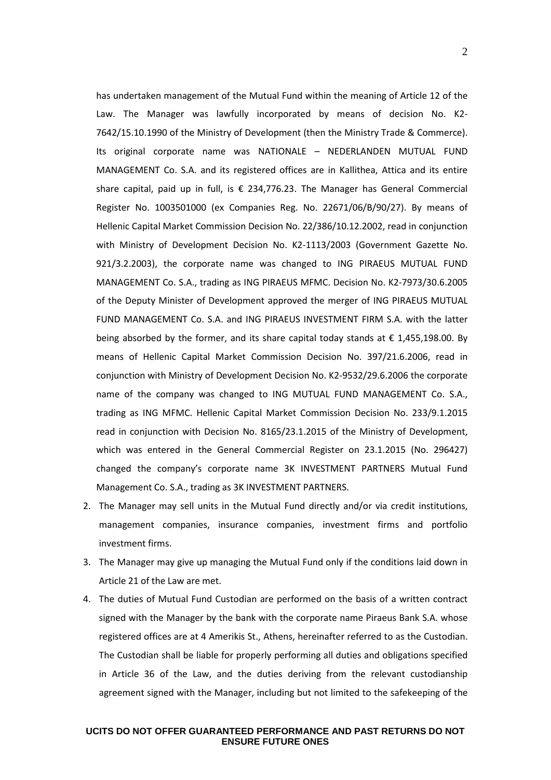has undertaken management of the Mutual Fund within the meaning of Article 12 of the Law. The Manager was lawfully incorporated by means of decision No. Κ2- 7642/15.10.1990 of the Ministry of Development (then the Ministry Trade & Commerce). Its original corporate name was NATIONALE – NEDERLANDEN MUTUAL FUND MANAGEMENT Co. S.A. and its registered offices are in Kallithea, Attica and its entire share capital, paid up in full, is  $\epsilon$  234,776.23. The Manager has General Commercial Register No. 1003501000 (ex Companies Reg. No. 22671/06/Β/90/27). By means of Hellenic Capital Market Commission Decision No. 22/386/10.12.2002, read in conjunction with Ministry of Development Decision No. Κ2-1113/2003 (Government Gazette No. 921/3.2.2003), the corporate name was changed to ING PIRAEUS MUTUAL FUND MANAGEMENT Co. S.A., trading as ING PIRAEUS MFMC. Decision No. Κ2-7973/30.6.2005 of the Deputy Minister of Development approved the merger of ING PIRAEUS MUTUAL FUND MANAGEMENT Co. S.A. and ING PIRAEUS INVESTMENT FIRM S.A. with the latter being absorbed by the former, and its share capital today stands at  $\epsilon$  1,455,198.00. By means of Hellenic Capital Market Commission Decision No. 397/21.6.2006, read in conjunction with Ministry of Development Decision No. K2-9532/29.6.2006 the corporate name of the company was changed to ING MUTUAL FUND MANAGEMENT Co. S.A., trading as ING MFMC. Hellenic Capital Market Commission Decision No. 233/9.1.2015 read in conjunction with Decision No. 8165/23.1.2015 of the Ministry of Development, which was entered in the General Commercial Register on 23.1.2015 (No. 296427) changed the company's corporate name 3K INVESTMENT PARTNERS Mutual Fund Management Co. S.A., trading as 3K INVESTMENT PARTNERS.

- 2. The Manager may sell units in the Mutual Fund directly and/or via credit institutions, management companies, insurance companies, investment firms and portfolio investment firms.
- 3. The Manager may give up managing the Mutual Fund only if the conditions laid down in Article 21 of the Law are met.
- 4. The duties of Mutual Fund Custodian are performed on the basis of a written contract signed with the Manager by the bank with the corporate name Piraeus Bank S.A. whose registered offices are at 4 Amerikis St., Athens, hereinafter referred to as the Custodian. The Custodian shall be liable for properly performing all duties and obligations specified in Article 36 of the Law, and the duties deriving from the relevant custodianship agreement signed with the Manager, including but not limited to the safekeeping of the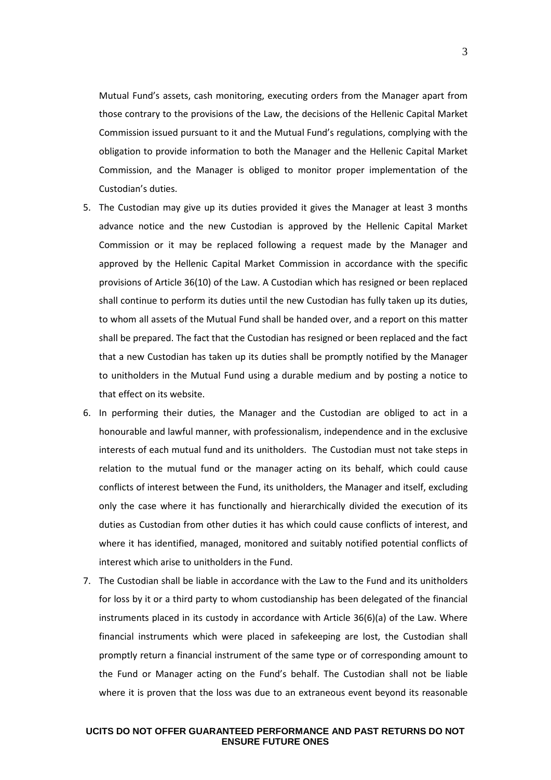Mutual Fund's assets, cash monitoring, executing orders from the Manager apart from those contrary to the provisions of the Law, the decisions of the Hellenic Capital Market Commission issued pursuant to it and the Mutual Fund's regulations, complying with the obligation to provide information to both the Manager and the Hellenic Capital Market Commission, and the Manager is obliged to monitor proper implementation of the Custodian's duties.

- 5. The Custodian may give up its duties provided it gives the Manager at least 3 months advance notice and the new Custodian is approved by the Hellenic Capital Market Commission or it may be replaced following a request made by the Manager and approved by the Hellenic Capital Market Commission in accordance with the specific provisions of Article 36(10) of the Law. A Custodian which has resigned or been replaced shall continue to perform its duties until the new Custodian has fully taken up its duties, to whom all assets of the Mutual Fund shall be handed over, and a report on this matter shall be prepared. The fact that the Custodian has resigned or been replaced and the fact that a new Custodian has taken up its duties shall be promptly notified by the Manager to unitholders in the Mutual Fund using a durable medium and by posting a notice to that effect on its website.
- 6. In performing their duties, the Manager and the Custodian are obliged to act in a honourable and lawful manner, with professionalism, independence and in the exclusive interests of each mutual fund and its unitholders. The Custodian must not take steps in relation to the mutual fund or the manager acting on its behalf, which could cause conflicts of interest between the Fund, its unitholders, the Manager and itself, excluding only the case where it has functionally and hierarchically divided the execution of its duties as Custodian from other duties it has which could cause conflicts of interest, and where it has identified, managed, monitored and suitably notified potential conflicts of interest which arise to unitholders in the Fund.
- 7. The Custodian shall be liable in accordance with the Law to the Fund and its unitholders for loss by it or a third party to whom custodianship has been delegated of the financial instruments placed in its custody in accordance with Article 36(6)(a) of the Law. Where financial instruments which were placed in safekeeping are lost, the Custodian shall promptly return a financial instrument of the same type or of corresponding amount to the Fund or Manager acting on the Fund's behalf. The Custodian shall not be liable where it is proven that the loss was due to an extraneous event beyond its reasonable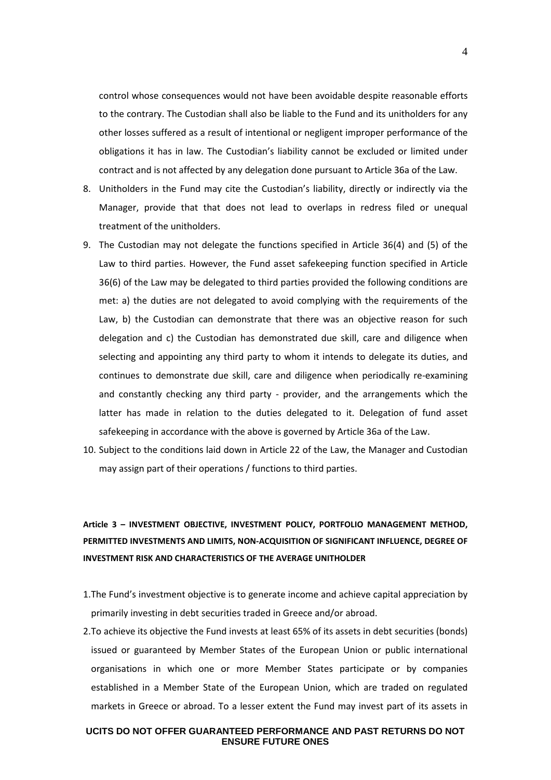control whose consequences would not have been avoidable despite reasonable efforts to the contrary. The Custodian shall also be liable to the Fund and its unitholders for any other losses suffered as a result of intentional or negligent improper performance of the obligations it has in law. The Custodian's liability cannot be excluded or limited under contract and is not affected by any delegation done pursuant to Article 36a of the Law.

- 8. Unitholders in the Fund may cite the Custodian's liability, directly or indirectly via the Manager, provide that that does not lead to overlaps in redress filed or unequal treatment of the unitholders.
- 9. The Custodian may not delegate the functions specified in Article 36(4) and (5) of the Law to third parties. However, the Fund asset safekeeping function specified in Article 36(6) of the Law may be delegated to third parties provided the following conditions are met: a) the duties are not delegated to avoid complying with the requirements of the Law, b) the Custodian can demonstrate that there was an objective reason for such delegation and c) the Custodian has demonstrated due skill, care and diligence when selecting and appointing any third party to whom it intends to delegate its duties, and continues to demonstrate due skill, care and diligence when periodically re-examining and constantly checking any third party - provider, and the arrangements which the latter has made in relation to the duties delegated to it. Delegation of fund asset safekeeping in accordance with the above is governed by Article 36a of the Law.
- 10. Subject to the conditions laid down in Article 22 of the Law, the Manager and Custodian may assign part of their operations / functions to third parties.

# **Article 3 – INVESTMENT OBJECTIVE, INVESTMENT POLICY, PORTFOLIO MANAGEMENT METHOD, PERMITTED INVESTMENTS AND LIMITS, NON-ACQUISITION OF SIGNIFICANT INFLUENCE, DEGREE OF INVESTMENT RISK AND CHARACTERISTICS OF THE AVERAGE UNITHOLDER**

- 1.The Fund's investment objective is to generate income and achieve capital appreciation by primarily investing in debt securities traded in Greece and/or abroad.
- 2.To achieve its objective the Fund invests at least 65% of its assets in debt securities (bonds) issued or guaranteed by Member States of the European Union or public international organisations in which one or more Member States participate or by companies established in a Member State of the European Union, which are traded on regulated markets in Greece or abroad. To a lesser extent the Fund may invest part of its assets in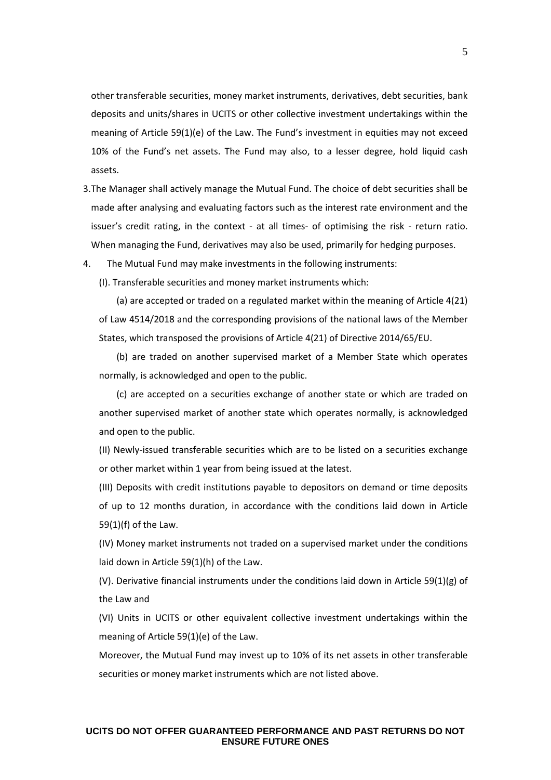other transferable securities, money market instruments, derivatives, debt securities, bank deposits and units/shares in UCITS or other collective investment undertakings within the meaning of Article 59(1)(e) of the Law. The Fund's investment in equities may not exceed 10% of the Fund's net assets. The Fund may also, to a lesser degree, hold liquid cash assets.

- 3.The Manager shall actively manage the Mutual Fund. The choice of debt securities shall be made after analysing and evaluating factors such as the interest rate environment and the issuer's credit rating, in the context - at all times- of optimising the risk - return ratio. When managing the Fund, derivatives may also be used, primarily for hedging purposes.
- 4. The Mutual Fund may make investments in the following instruments:

(I). Transferable securities and money market instruments which:

(a) are accepted or traded on a regulated market within the meaning of Article 4(21) of Law 4514/2018 and the corresponding provisions of the national laws of the Member States, which transposed the provisions of Article 4(21) of Directive 2014/65/EU.

(b) are traded on another supervised market of a Member State which operates normally, is acknowledged and open to the public.

(c) are accepted on a securities exchange of another state or which are traded on another supervised market of another state which operates normally, is acknowledged and open to the public.

(II) Newly-issued transferable securities which are to be listed on a securities exchange or other market within 1 year from being issued at the latest.

(III) Deposits with credit institutions payable to depositors on demand or time deposits of up to 12 months duration, in accordance with the conditions laid down in Article 59(1)(f) of the Law.

(IV) Money market instruments not traded on a supervised market under the conditions laid down in Article 59(1)(h) of the Law.

(V). Derivative financial instruments under the conditions laid down in Article 59(1)(g) of the Law and

(VI) Units in UCITS or other equivalent collective investment undertakings within the meaning of Article 59(1)(e) of the Law.

Moreover, the Mutual Fund may invest up to 10% of its net assets in other transferable securities or money market instruments which are not listed above.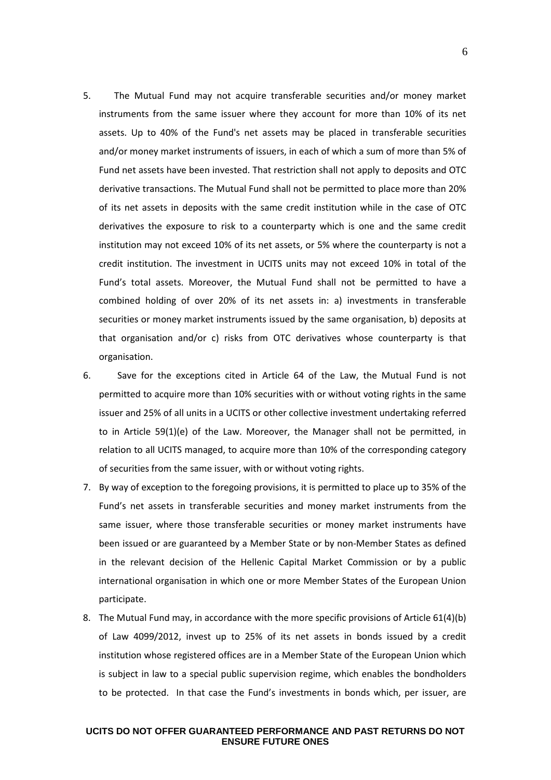- 5. The Mutual Fund may not acquire transferable securities and/or money market instruments from the same issuer where they account for more than 10% of its net assets. Up to 40% of the Fund's net assets may be placed in transferable securities and/or money market instruments of issuers, in each of which a sum of more than 5% of Fund net assets have been invested. That restriction shall not apply to deposits and OTC derivative transactions. The Mutual Fund shall not be permitted to place more than 20% of its net assets in deposits with the same credit institution while in the case of OTC derivatives the exposure to risk to a counterparty which is one and the same credit institution may not exceed 10% of its net assets, or 5% where the counterparty is not a credit institution. The investment in UCITS units may not exceed 10% in total of the Fund's total assets. Moreover, the Mutual Fund shall not be permitted to have a combined holding of over 20% of its net assets in: a) investments in transferable securities or money market instruments issued by the same organisation, b) deposits at that organisation and/or c) risks from OTC derivatives whose counterparty is that organisation.
- 6. Save for the exceptions cited in Article 64 of the Law, the Mutual Fund is not permitted to acquire more than 10% securities with or without voting rights in the same issuer and 25% of all units in a UCITS or other collective investment undertaking referred to in Article 59(1)(e) of the Law. Moreover, the Manager shall not be permitted, in relation to all UCITS managed, to acquire more than 10% of the corresponding category of securities from the same issuer, with or without voting rights.
- 7. By way of exception to the foregoing provisions, it is permitted to place up to 35% of the Fund's net assets in transferable securities and money market instruments from the same issuer, where those transferable securities or money market instruments have been issued or are guaranteed by a Member State or by non-Member States as defined in the relevant decision of the Hellenic Capital Market Commission or by a public international organisation in which one or more Member States of the European Union participate.
- 8. The Mutual Fund may, in accordance with the more specific provisions of Article 61(4)(b) of Law 4099/2012, invest up to 25% of its net assets in bonds issued by a credit institution whose registered offices are in a Member State of the European Union which is subject in law to a special public supervision regime, which enables the bondholders to be protected. In that case the Fund's investments in bonds which, per issuer, are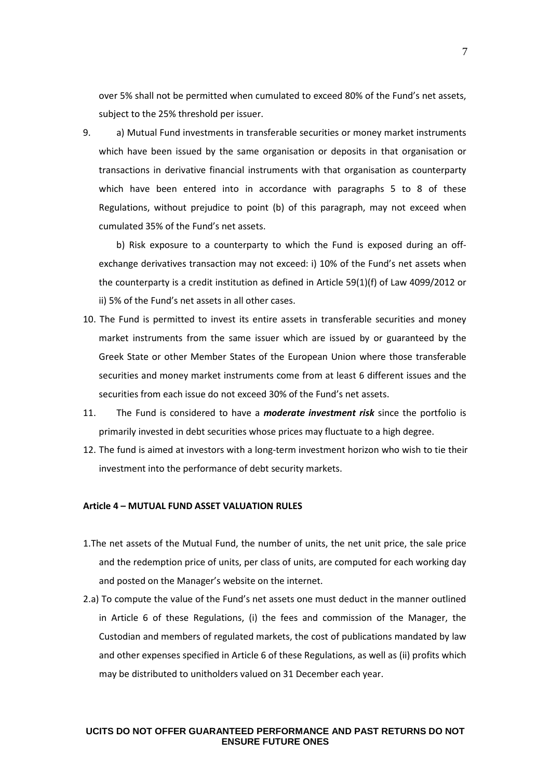over 5% shall not be permitted when cumulated to exceed 80% of the Fund's net assets, subject to the 25% threshold per issuer.

9. a) Mutual Fund investments in transferable securities or money market instruments which have been issued by the same organisation or deposits in that organisation or transactions in derivative financial instruments with that organisation as counterparty which have been entered into in accordance with paragraphs 5 to 8 of these Regulations, without prejudice to point (b) of this paragraph, may not exceed when cumulated 35% of the Fund's net assets.

b) Risk exposure to a counterparty to which the Fund is exposed during an offexchange derivatives transaction may not exceed: i) 10% of the Fund's net assets when the counterparty is a credit institution as defined in Article 59(1)(f) of Law 4099/2012 or ii) 5% of the Fund's net assets in all other cases.

- 10. The Fund is permitted to invest its entire assets in transferable securities and money market instruments from the same issuer which are issued by or guaranteed by the Greek State or other Member States of the European Union where those transferable securities and money market instruments come from at least 6 different issues and the securities from each issue do not exceed 30% of the Fund's net assets.
- 11. The Fund is considered to have a *moderate investment risk* since the portfolio is primarily invested in debt securities whose prices may fluctuate to a high degree.
- 12. The fund is aimed at investors with a long-term investment horizon who wish to tie their investment into the performance of debt security markets.

## **Article 4 – MUTUAL FUND ASSET VALUATION RULES**

- 1.The net assets of the Mutual Fund, the number of units, the net unit price, the sale price and the redemption price of units, per class of units, are computed for each working day and posted on the Manager's website on the internet.
- 2.a) To compute the value of the Fund's net assets one must deduct in the manner outlined in Article 6 of these Regulations, (i) the fees and commission of the Manager, the Custodian and members of regulated markets, the cost of publications mandated by law and other expenses specified in Article 6 of these Regulations, as well as (ii) profits which may be distributed to unitholders valued on 31 December each year.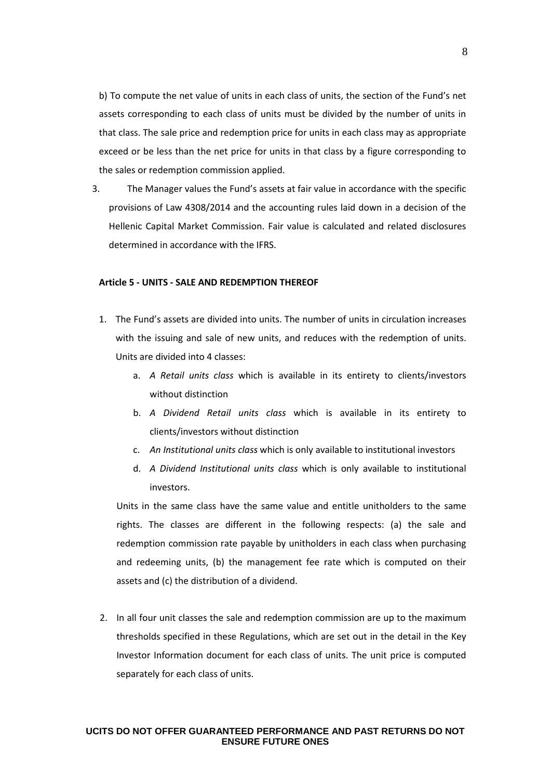b) To compute the net value of units in each class of units, the section of the Fund's net assets corresponding to each class of units must be divided by the number of units in that class. The sale price and redemption price for units in each class may as appropriate exceed or be less than the net price for units in that class by a figure corresponding to the sales or redemption commission applied.

3. The Manager values the Fund's assets at fair value in accordance with the specific provisions of Law 4308/2014 and the accounting rules laid down in a decision of the Hellenic Capital Market Commission. Fair value is calculated and related disclosures determined in accordance with the IFRS.

### **Article 5 - UNITS - SALE AND REDEMPTION THEREOF**

- 1. The Fund's assets are divided into units. The number of units in circulation increases with the issuing and sale of new units, and reduces with the redemption of units. Units are divided into 4 classes:
	- a. *A Retail units class* which is available in its entirety to clients/investors without distinction
	- b. *A Dividend Retail units class* which is available in its entirety to clients/investors without distinction
	- c. *An Institutional units class* which is only available to institutional investors
	- d. *A Dividend Institutional units class* which is only available to institutional investors.

Units in the same class have the same value and entitle unitholders to the same rights. The classes are different in the following respects: (a) the sale and redemption commission rate payable by unitholders in each class when purchasing and redeeming units, (b) the management fee rate which is computed on their assets and (c) the distribution of a dividend.

2. In all four unit classes the sale and redemption commission are up to the maximum thresholds specified in these Regulations, which are set out in the detail in the Key Investor Information document for each class of units. The unit price is computed separately for each class of units.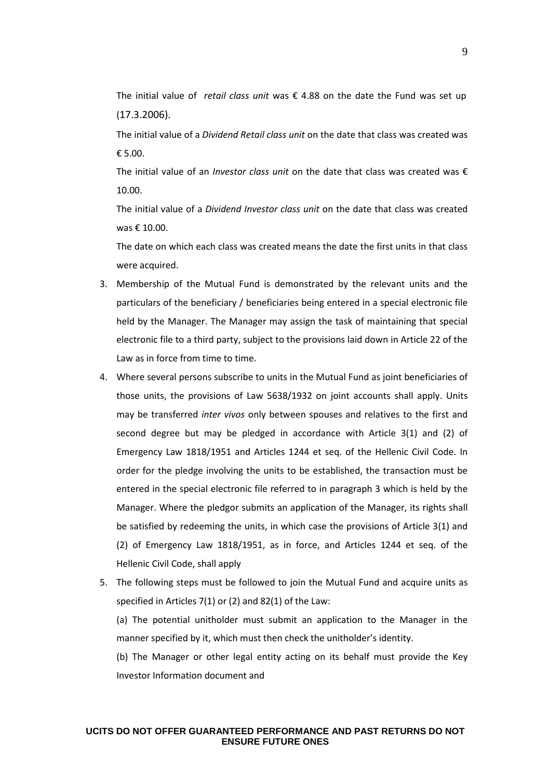The initial value of *retail class unit* was € 4.88 on the date the Fund was set up (17.3.2006).

The initial value of a *Dividend Retail class unit* on the date that class was created was € 5.00.

The initial value of an *Investor class unit* on the date that class was created was € 10.00.

The initial value of a *Dividend Investor class unit* on the date that class was created was € 10.00.

The date on which each class was created means the date the first units in that class were acquired.

- 3. Membership of the Mutual Fund is demonstrated by the relevant units and the particulars of the beneficiary / beneficiaries being entered in a special electronic file held by the Manager. The Manager may assign the task of maintaining that special electronic file to a third party, subject to the provisions laid down in Article 22 of the Law as in force from time to time.
- 4. Where several persons subscribe to units in the Mutual Fund as joint beneficiaries of those units, the provisions of Law 5638/1932 on joint accounts shall apply. Units may be transferred *inter vivos* only between spouses and relatives to the first and second degree but may be pledged in accordance with Article 3(1) and (2) of Emergency Law 1818/1951 and Articles 1244 et seq. of the Hellenic Civil Code. In order for the pledge involving the units to be established, the transaction must be entered in the special electronic file referred to in paragraph 3 which is held by the Manager. Where the pledgor submits an application of the Manager, its rights shall be satisfied by redeeming the units, in which case the provisions of Article 3(1) and (2) of Emergency Law 1818/1951, as in force, and Articles 1244 et seq. of the Hellenic Civil Code, shall apply
- 5. The following steps must be followed to join the Mutual Fund and acquire units as specified in Articles 7(1) or (2) and 82(1) of the Law:

(a) The potential unitholder must submit an application to the Manager in the manner specified by it, which must then check the unitholder's identity.

(b) The Manager or other legal entity acting on its behalf must provide the Key Investor Information document and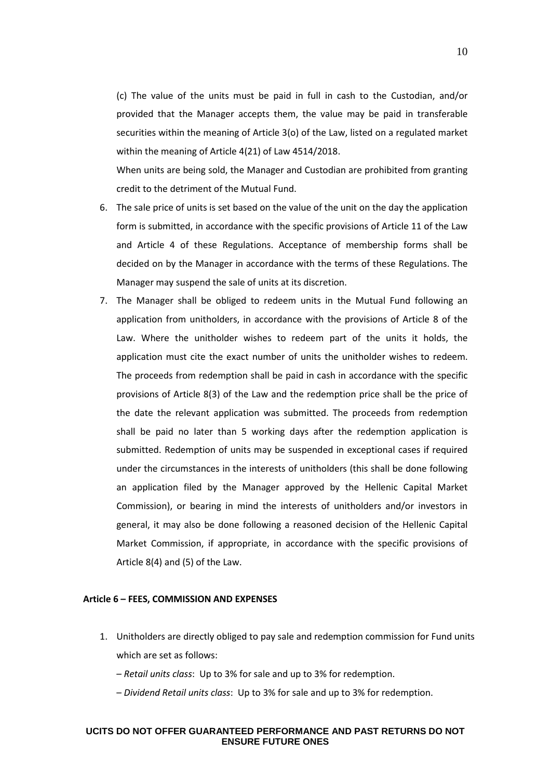(c) The value of the units must be paid in full in cash to the Custodian, and/or provided that the Manager accepts them, the value may be paid in transferable securities within the meaning of Article 3(o) of the Law, listed on a regulated market within the meaning of Article 4(21) of Law 4514/2018.

When units are being sold, the Manager and Custodian are prohibited from granting credit to the detriment of the Mutual Fund.

- 6. The sale price of units is set based on the value of the unit on the day the application form is submitted, in accordance with the specific provisions of Article 11 of the Law and Article 4 of these Regulations. Acceptance of membership forms shall be decided on by the Manager in accordance with the terms of these Regulations. The Manager may suspend the sale of units at its discretion.
- 7. The Manager shall be obliged to redeem units in the Mutual Fund following an application from unitholders, in accordance with the provisions of Article 8 of the Law. Where the unitholder wishes to redeem part of the units it holds, the application must cite the exact number of units the unitholder wishes to redeem. The proceeds from redemption shall be paid in cash in accordance with the specific provisions of Article 8(3) of the Law and the redemption price shall be the price of the date the relevant application was submitted. The proceeds from redemption shall be paid no later than 5 working days after the redemption application is submitted. Redemption of units may be suspended in exceptional cases if required under the circumstances in the interests of unitholders (this shall be done following an application filed by the Manager approved by the Hellenic Capital Market Commission), or bearing in mind the interests of unitholders and/or investors in general, it may also be done following a reasoned decision of the Hellenic Capital Market Commission, if appropriate, in accordance with the specific provisions of Article 8(4) and (5) of the Law.

#### **Article 6 – FEES, COMMISSION AND EXPENSES**

- 1. Unitholders are directly obliged to pay sale and redemption commission for Fund units which are set as follows:
	- *Retail units class*: Up to 3% for sale and up to 3% for redemption.
	- *Dividend Retail units class*: Up to 3% for sale and up to 3% for redemption.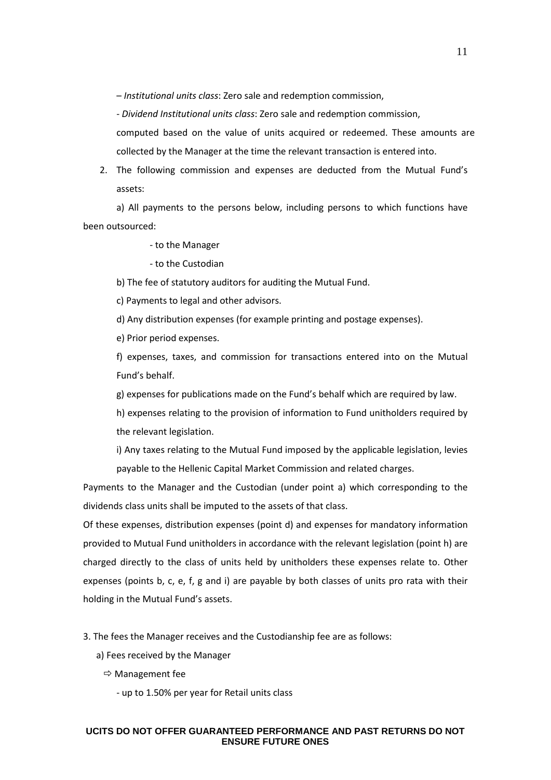– *Institutional units class*: Zero sale and redemption commission,

- *Dividend Institutional units class*: Zero sale and redemption commission,

computed based on the value of units acquired or redeemed. These amounts are collected by the Manager at the time the relevant transaction is entered into.

2. The following commission and expenses are deducted from the Mutual Fund's assets:

a) All payments to the persons below, including persons to which functions have been outsourced:

- to the Manager

- to the Custodian

b) The fee of statutory auditors for auditing the Mutual Fund.

c) Payments to legal and other advisors.

d) Any distribution expenses (for example printing and postage expenses).

e) Prior period expenses.

f) expenses, taxes, and commission for transactions entered into on the Mutual Fund's behalf.

g) expenses for publications made on the Fund's behalf which are required by law.

h) expenses relating to the provision of information to Fund unitholders required by the relevant legislation.

i) Any taxes relating to the Mutual Fund imposed by the applicable legislation, levies payable to the Hellenic Capital Market Commission and related charges.

Payments to the Manager and the Custodian (under point a) which corresponding to the dividends class units shall be imputed to the assets of that class.

Of these expenses, distribution expenses (point d) and expenses for mandatory information provided to Mutual Fund unitholders in accordance with the relevant legislation (point h) are charged directly to the class of units held by unitholders these expenses relate to. Other expenses (points b, c, e, f, g and i) are payable by both classes of units pro rata with their holding in the Mutual Fund's assets.

3. The fees the Manager receives and the Custodianship fee are as follows:

a) Fees received by the Manager

 $\Rightarrow$  Management fee

- up to 1.50% per year for Retail units class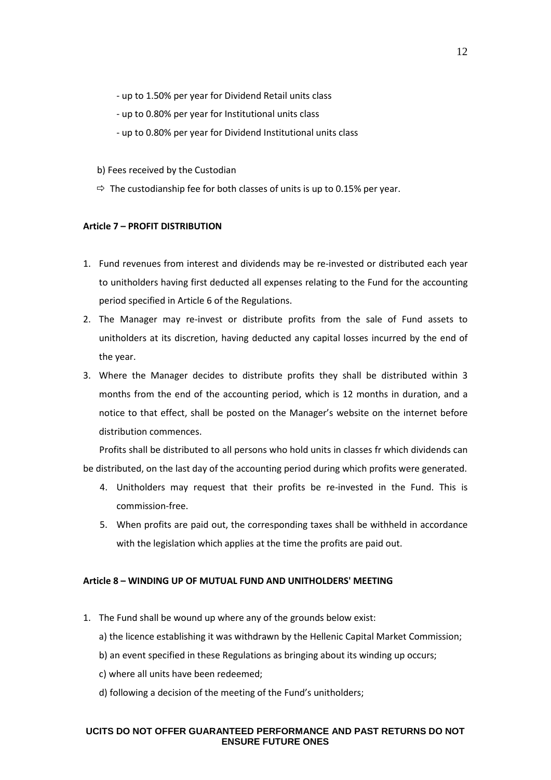- up to 1.50% per year for Dividend Retail units class
- up to 0.80% per year for Institutional units class
- up to 0.80% per year for Dividend Institutional units class
- b) Fees received by the Custodian
- $\Rightarrow$  The custodianship fee for both classes of units is up to 0.15% per year.

## **Article 7 – PROFIT DISTRIBUTION**

- 1. Fund revenues from interest and dividends may be re-invested or distributed each year to unitholders having first deducted all expenses relating to the Fund for the accounting period specified in Article 6 of the Regulations.
- 2. The Manager may re-invest or distribute profits from the sale of Fund assets to unitholders at its discretion, having deducted any capital losses incurred by the end of the year.
- 3. Where the Manager decides to distribute profits they shall be distributed within 3 months from the end of the accounting period, which is 12 months in duration, and a notice to that effect, shall be posted on the Manager's website on the internet before distribution commences.

 Profits shall be distributed to all persons who hold units in classes fr which dividends can be distributed, on the last day of the accounting period during which profits were generated.

- 4. Unitholders may request that their profits be re-invested in the Fund. This is commission-free.
- 5. When profits are paid out, the corresponding taxes shall be withheld in accordance with the legislation which applies at the time the profits are paid out.

#### **Article 8 – WINDING UP OF MUTUAL FUND AND UNITHOLDERS' MEETING**

- 1. The Fund shall be wound up where any of the grounds below exist:
	- a) the licence establishing it was withdrawn by the Hellenic Capital Market Commission;
	- b) an event specified in these Regulations as bringing about its winding up occurs;
	- c) where all units have been redeemed;
	- d) following a decision of the meeting of the Fund's unitholders;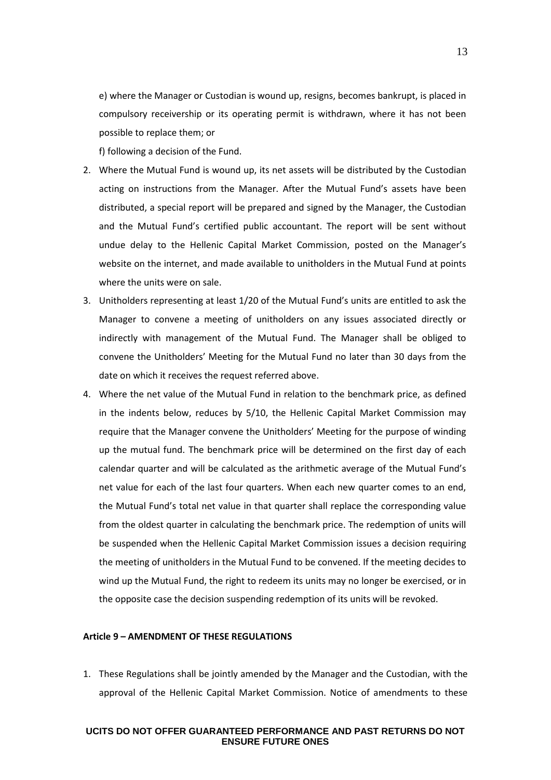e) where the Manager or Custodian is wound up, resigns, becomes bankrupt, is placed in compulsory receivership or its operating permit is withdrawn, where it has not been possible to replace them; or

f) following a decision of the Fund.

- 2. Where the Mutual Fund is wound up, its net assets will be distributed by the Custodian acting on instructions from the Manager. After the Mutual Fund's assets have been distributed, a special report will be prepared and signed by the Manager, the Custodian and the Mutual Fund's certified public accountant. The report will be sent without undue delay to the Hellenic Capital Market Commission, posted on the Manager's website on the internet, and made available to unitholders in the Mutual Fund at points where the units were on sale.
- 3. Unitholders representing at least 1/20 of the Mutual Fund's units are entitled to ask the Manager to convene a meeting of unitholders on any issues associated directly or indirectly with management of the Mutual Fund. The Manager shall be obliged to convene the Unitholders' Meeting for the Mutual Fund no later than 30 days from the date on which it receives the request referred above.
- 4. Where the net value of the Mutual Fund in relation to the benchmark price, as defined in the indents below, reduces by 5/10, the Hellenic Capital Market Commission may require that the Manager convene the Unitholders' Meeting for the purpose of winding up the mutual fund. The benchmark price will be determined on the first day of each calendar quarter and will be calculated as the arithmetic average of the Mutual Fund's net value for each of the last four quarters. When each new quarter comes to an end, the Mutual Fund's total net value in that quarter shall replace the corresponding value from the oldest quarter in calculating the benchmark price. The redemption of units will be suspended when the Hellenic Capital Market Commission issues a decision requiring the meeting of unitholders in the Mutual Fund to be convened. If the meeting decides to wind up the Mutual Fund, the right to redeem its units may no longer be exercised, or in the opposite case the decision suspending redemption of its units will be revoked.

#### **Article 9 – AMENDMENT OF THESE REGULATIONS**

1. These Regulations shall be jointly amended by the Manager and the Custodian, with the approval of the Hellenic Capital Market Commission. Notice of amendments to these